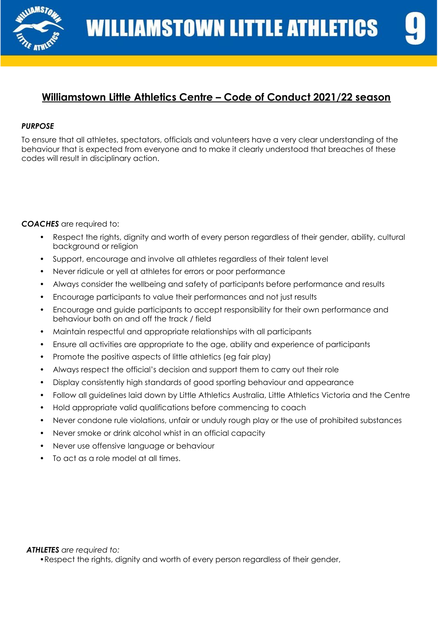

# **Williamstown Little Athletics Centre – Code of Conduct 2021/22 season**

## *PURPOSE*

To ensure that all athletes, spectators, officials and volunteers have a very clear understanding of the behaviour that is expected from everyone and to make it clearly understood that breaches of these codes will result in disciplinary action.

*COACHES* are required to:

- Respect the rights, dignity and worth of every person regardless of their gender, ability, cultural background or religion
- Support, encourage and involve all athletes regardless of their talent level
- Never ridicule or yell at athletes for errors or poor performance
- Always consider the wellbeing and safety of participants before performance and results
- Encourage participants to value their performances and not just results
- Encourage and guide participants to accept responsibility for their own performance and behaviour both on and off the track / field
- Maintain respectful and appropriate relationships with all participants
- Ensure all activities are appropriate to the age, ability and experience of participants
- Promote the positive aspects of little athletics (eg fair play)
- Always respect the official's decision and support them to carry out their role
- Display consistently high standards of good sporting behaviour and appearance
- Follow all guidelines laid down by Little Athletics Australia, Little Athletics Victoria and the Centre
- Hold appropriate valid qualifications before commencing to coach
- Never condone rule violations, unfair or unduly rough play or the use of prohibited substances
- Never smoke or drink alcohol whist in an official capacity
- Never use offensive language or behaviour
- To act as a role model at all times.

*ATHLETES are required to:*

•Respect the rights, dignity and worth of every person regardless of their gender,